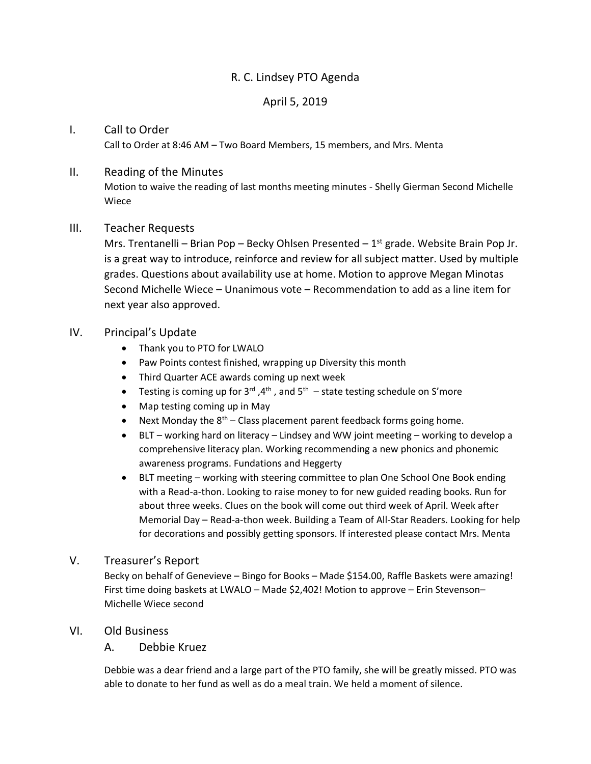# R. C. Lindsey PTO Agenda

## April 5, 2019

## I. Call to Order

Call to Order at 8:46 AM – Two Board Members, 15 members, and Mrs. Menta

### II. Reading of the Minutes

Motion to waive the reading of last months meeting minutes - Shelly Gierman Second Michelle Wiece

## III. Teacher Requests

Mrs. Trentanelli – Brian Pop – Becky Ohlsen Presented –  $1<sup>st</sup>$  grade. Website Brain Pop Jr. is a great way to introduce, reinforce and review for all subject matter. Used by multiple grades. Questions about availability use at home. Motion to approve Megan Minotas Second Michelle Wiece – Unanimous vote – Recommendation to add as a line item for next year also approved.

## IV. Principal's Update

- Thank you to PTO for LWALO
- Paw Points contest finished, wrapping up Diversity this month
- Third Quarter ACE awards coming up next week
- Testing is coming up for  $3^{\text{rd}}$ ,  $4^{\text{th}}$ , and  $5^{\text{th}}$  state testing schedule on S'more
- Map testing coming up in May
- Next Monday the  $8<sup>th</sup>$  Class placement parent feedback forms going home.
- BLT working hard on literacy Lindsey and WW joint meeting working to develop a comprehensive literacy plan. Working recommending a new phonics and phonemic awareness programs. Fundations and Heggerty
- BLT meeting working with steering committee to plan One School One Book ending with a Read-a-thon. Looking to raise money to for new guided reading books. Run for about three weeks. Clues on the book will come out third week of April. Week after Memorial Day – Read-a-thon week. Building a Team of All-Star Readers. Looking for help for decorations and possibly getting sponsors. If interested please contact Mrs. Menta

#### V. Treasurer's Report

Becky on behalf of Genevieve – Bingo for Books – Made \$154.00, Raffle Baskets were amazing! First time doing baskets at LWALO – Made \$2,402! Motion to approve – Erin Stevenson– Michelle Wiece second

#### VI. Old Business

#### A. Debbie Kruez

Debbie was a dear friend and a large part of the PTO family, she will be greatly missed. PTO was able to donate to her fund as well as do a meal train. We held a moment of silence.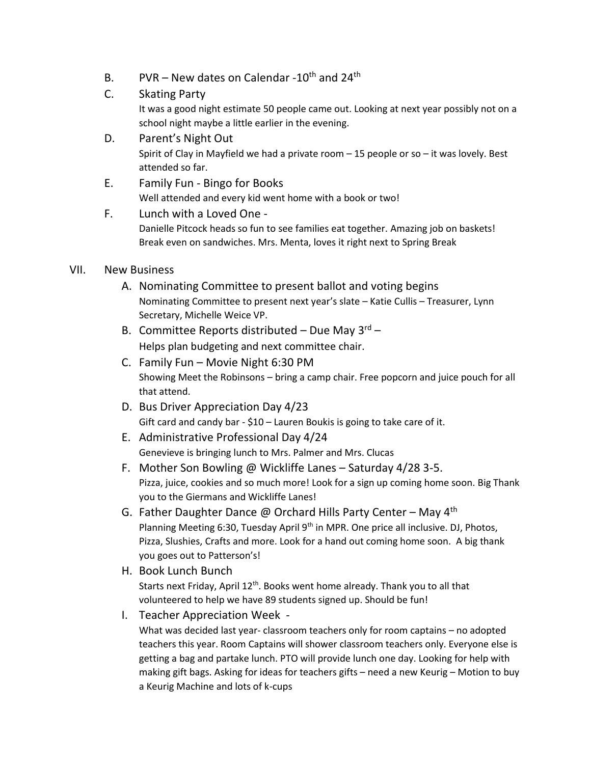- B. PVR New dates on Calendar - $10^{th}$  and 24<sup>th</sup>
- C. Skating Party

It was a good night estimate 50 people came out. Looking at next year possibly not on a school night maybe a little earlier in the evening.

- D. Parent's Night Out Spirit of Clay in Mayfield we had a private room – 15 people or so – it was lovely. Best attended so far.
- E. Family Fun Bingo for Books Well attended and every kid went home with a book or two!
- F. Lunch with a Loved One Danielle Pitcock heads so fun to see families eat together. Amazing job on baskets! Break even on sandwiches. Mrs. Menta, loves it right next to Spring Break
- VII. New Business
	- A. Nominating Committee to present ballot and voting begins Nominating Committee to present next year's slate – Katie Cullis – Treasurer, Lynn Secretary, Michelle Weice VP.
	- B. Committee Reports distributed Due May  $3^{rd}$  Helps plan budgeting and next committee chair.
	- C. Family Fun Movie Night 6:30 PM Showing Meet the Robinsons – bring a camp chair. Free popcorn and juice pouch for all that attend.
	- D. Bus Driver Appreciation Day 4/23 Gift card and candy bar - \$10 - Lauren Boukis is going to take care of it.
	- E. Administrative Professional Day 4/24 Genevieve is bringing lunch to Mrs. Palmer and Mrs. Clucas
	- F. Mother Son Bowling @ Wickliffe Lanes Saturday 4/28 3-5. Pizza, juice, cookies and so much more! Look for a sign up coming home soon. Big Thank you to the Giermans and Wickliffe Lanes!
	- G. Father Daughter Dance @ Orchard Hills Party Center May  $4<sup>th</sup>$ Planning Meeting 6:30, Tuesday April 9<sup>th</sup> in MPR. One price all inclusive. DJ, Photos, Pizza, Slushies, Crafts and more. Look for a hand out coming home soon. A big thank you goes out to Patterson's!
	- H. Book Lunch Bunch

Starts next Friday, April 12<sup>th</sup>. Books went home already. Thank you to all that volunteered to help we have 89 students signed up. Should be fun!

I. Teacher Appreciation Week - What was decided last year- classroom teachers only for room captains – no adopted teachers this year. Room Captains will shower classroom teachers only. Everyone else is getting a bag and partake lunch. PTO will provide lunch one day. Looking for help with making gift bags. Asking for ideas for teachers gifts – need a new Keurig – Motion to buy a Keurig Machine and lots of k-cups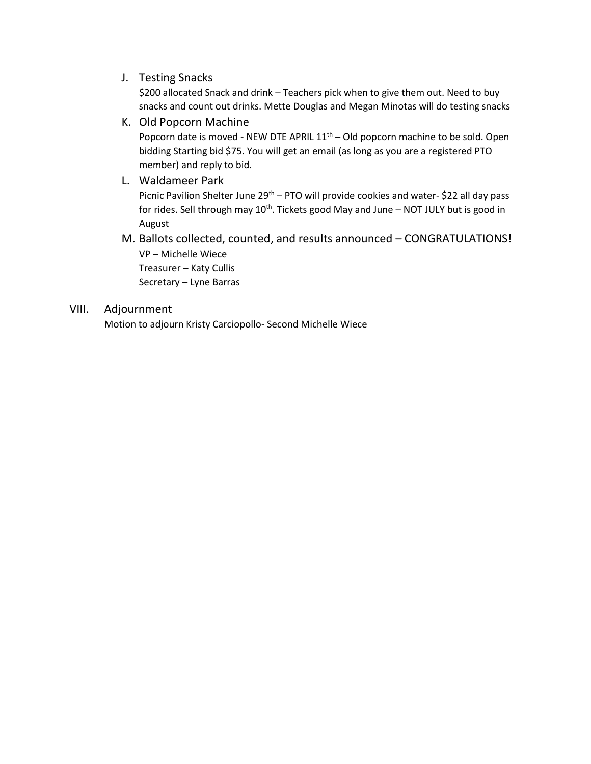J. Testing Snacks

\$200 allocated Snack and drink – Teachers pick when to give them out. Need to buy snacks and count out drinks. Mette Douglas and Megan Minotas will do testing snacks

K. Old Popcorn Machine

Popcorn date is moved - NEW DTE APRIL  $11<sup>th</sup>$  – Old popcorn machine to be sold. Open bidding Starting bid \$75. You will get an email (as long as you are a registered PTO member) and reply to bid.

L. Waldameer Park

Picnic Pavilion Shelter June 29<sup>th</sup> – PTO will provide cookies and water- \$22 all day pass for rides. Sell through may  $10^{th}$ . Tickets good May and June – NOT JULY but is good in August

M. Ballots collected, counted, and results announced – CONGRATULATIONS! VP – Michelle Wiece Treasurer – Katy Cullis Secretary – Lyne Barras

## VIII. Adjournment

Motion to adjourn Kristy Carciopollo- Second Michelle Wiece